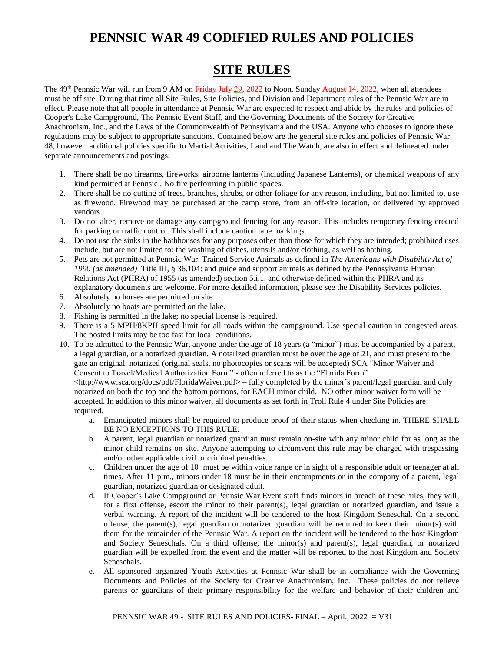# **PENNSIC WAR 49 CODIFIED RULES AND POLICIES**

# **SITE RULES**

The 49<sup>th</sup> Pennsic War will run from 9 AM on Friday July 29, 2022 to Noon, Sunday August 14, 2022, when all attendees must be off site. During that time all Site Rules, Site Policies, and Division and Department rules of the Pennsic War are in effect. Please note that all people in attendance at Pennsic War are expected to respect and abide by the rules and policies of Cooper's Lake Campground, The Pennsic Event Staff, and the Governing Documents of the Society for Creative Anachronism, Inc., and the Laws of the Commonwealth of Pennsylvania and the USA. Anyone who chooses to ignore these regulations may be subject to appropriate sanctions. Contained below are the general site rules and policies of Pennsic War 48, however: additional policies specific to Martial Activities, Land and The Watch, are also in effect and delineated under separate announcements and postings.

- 1. There shall be no firearms, fireworks, airborne lanterns (including Japanese Lanterns), or chemical weapons of any kind permitted at Pennsic . No fire performing in public spaces.
- 2. There shall be no cutting of trees, branches, shrubs, or other foliage for any reason, including, but not limited to, use as firewood. Firewood may be purchased at the camp store, from an off-site location, or delivered by approved vendors.
- 3. Do not alter, remove or damage any campground fencing for any reason. This includes temporary fencing erected for parking or traffic control. This shall include caution tape markings.
- 4. Do not use the sinks in the bathhouses for any purposes other than those for which they are intended; prohibited uses include, but are not limited to: the washing of dishes, utensils and/or clothing, as well as bathing.
- 5. Pets are not permitted at Pennsic War. Trained Service Animals as defined in *The Americans with Disability Act of 1990 (as amended)* Title III, § 36.104: and guide and support animals as defined by the Pennsylvania Human Relations Act (PHRA) of 1955 (as amended) section 5.i.1, and otherwise defined within the PHRA and its explanatory documents are welcome. For more detailed information, please see the Disability Services policies.
- 6. Absolutely no horses are permitted on site.
- 7. Absolutely no boats are permitted on the lake.
- 8. Fishing is permitted in the lake; no special license is required.
- 9. There is a 5 MPH/8KPH speed limit for all roads within the campground. Use special caution in congested areas. The posted limits may be too fast for local conditions.
- 10. To be admitted to the Pennsic War, anyone under the age of 18 years (a "minor") must be accompanied by a parent, a legal guardian, or a notarized guardian. A notarized guardian must be over the age of 21, and must present to the gate an original, notarized (original seals, no photocopies or scans will be accepted) SCA "Minor Waiver and Consent to Travel/Medical Authorization Form" - often referred to as the "Florida Form"

<http://www.sca.org/docs/pdf/FloridaWaiver.pdf> – fully completed by the minor's parent/legal guardian and duly notarized on both the top and the bottom portions, for EACH minor child. NO other minor waiver form will be accepted. In addition to this minor waiver, all documents as set forth in Troll Rule 4 under Site Policies are required.

- a. Emancipated minors shall be required to produce proof of their status when checking in. THERE SHALL BE NO EXCEPTIONS TO THIS RULE.
- b. A parent, legal guardian or notarized guardian must remain on-site with any minor child for as long as the minor child remains on site. Anyone attempting to circumvent this rule may be charged with trespassing and/or other applicable civil or criminal penalties.
- $\epsilon$ . Children under the age of 10 must be within voice range or in sight of a responsible adult or teenager at all times. After 11 p.m., minors under 18 must be in their encampments or in the company of a parent, legal guardian, notarized guardian or designated adult.
- d. If Cooper's Lake Campground or Pennsic War Event staff finds minors in breach of these rules, they will, for a first offense, escort the minor to their parent(s), legal guardian or notarized guardian, and issue a verbal warning. A report of the incident will be tendered to the host Kingdom Seneschal. On a second offense, the parent(s), legal guardian or notarized guardian will be required to keep their minor(s) with them for the remainder of the Pennsic War. A report on the incident will be tendered to the host Kingdom and Society Seneschals. On a third offense, the minor(s) and parent(s), legal guardian, or notarized guardian will be expelled from the event and the matter will be reported to the host Kingdom and Society Seneschals.
- e. All sponsored organized Youth Activities at Pennsic War shall be in compliance with the Governing Documents and Policies of the Society for Creative Anachronism, Inc. These policies do not relieve parents or guardians of their primary responsibility for the welfare and behavior of their children and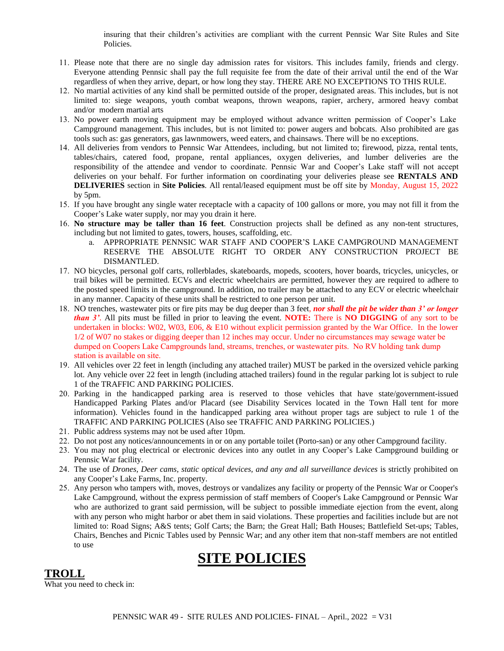insuring that their children's activities are compliant with the current Pennsic War Site Rules and Site Policies.

- 11. Please note that there are no single day admission rates for visitors. This includes family, friends and clergy. Everyone attending Pennsic shall pay the full requisite fee from the date of their arrival until the end of the War regardless of when they arrive, depart, or how long they stay. THERE ARE NO EXCEPTIONS TO THIS RULE.
- 12. No martial activities of any kind shall be permitted outside of the proper, designated areas. This includes, but is not limited to: siege weapons, youth combat weapons, thrown weapons, rapier, archery, armored heavy combat and/or modern martial arts
- 13. No power earth moving equipment may be employed without advance written permission of Cooper's Lake Campground management. This includes, but is not limited to: power augers and bobcats. Also prohibited are gas tools such as: gas generators, gas lawnmowers, weed eaters, and chainsaws. There will be no exceptions.
- 14. All deliveries from vendors to Pennsic War Attendees, including, but not limited to; firewood, pizza, rental tents, tables/chairs, catered food, propane, rental appliances, oxygen deliveries, and lumber deliveries are the responsibility of the attendee and vendor to coordinate. Pennsic War and Cooper's Lake staff will not accept deliveries on your behalf. For further information on coordinating your deliveries please see **RENTALS AND DELIVERIES** section in **Site Policies**. All rental/leased equipment must be off site by Monday, August 15, 2022 by 5pm.
- 15. If you have brought any single water receptacle with a capacity of 100 gallons or more, you may not fill it from the Cooper's Lake water supply, nor may you drain it here.
- 16. **No structure may be taller than 16 feet**. Construction projects shall be defined as any non-tent structures, including but not limited to gates, towers, houses, scaffolding, etc.
	- a. APPROPRIATE PENNSIC WAR STAFF AND COOPER'S LAKE CAMPGROUND MANAGEMENT RESERVE THE ABSOLUTE RIGHT TO ORDER ANY CONSTRUCTION PROJECT BE DISMANTLED.
- 17. NO bicycles, personal golf carts, rollerblades, skateboards, mopeds, scooters, hover boards, tricycles, unicycles, or trail bikes will be permitted. ECVs and electric wheelchairs are permitted, however they are required to adhere to the posted speed limits in the campground. In addition, no trailer may be attached to any ECV or electric wheelchair in any manner. Capacity of these units shall be restricted to one person per unit.
- 18. NO trenches, wastewater pits or fire pits may be dug deeper than 3 feet, *nor shall the pit be wider than 3' or longer than 3'*. All pits must be filled in prior to leaving the event. **NOTE:** There is **NO DIGGING** of any sort to be undertaken in blocks: W02, W03, E06, & E10 without explicit permission granted by the War Office. In the lower 1/2 of W07 no stakes or digging deeper than 12 inches may occur. Under no circumstances may sewage water be dumped on Coopers Lake Campgrounds land, streams, trenches, or wastewater pits. No RV holding tank dump station is available on site.
- 19. All vehicles over 22 feet in length (including any attached trailer) MUST be parked in the oversized vehicle parking lot. Any vehicle over 22 feet in length (including attached trailers) found in the regular parking lot is subject to rule 1 of the TRAFFIC AND PARKING POLICIES.
- 20. Parking in the handicapped parking area is reserved to those vehicles that have state/government-issued Handicapped Parking Plates and/or Placard (see Disability Services located in the Town Hall tent for more information). Vehicles found in the handicapped parking area without proper tags are subject to rule 1 of the TRAFFIC AND PARKING POLICIES (Also see TRAFFIC AND PARKING POLICIES.)
- 21. Public address systems may not be used after 10pm.
- 22. Do not post any notices/announcements in or on any portable toilet (Porto-san) or any other Campground facility.
- 23. You may not plug electrical or electronic devices into any outlet in any Cooper's Lake Campground building or Pennsic War facility.
- 24. The use of *Drones, Deer cams, static optical devices, and any and all surveillance devices* is strictly prohibited on any Cooper's Lake Farms, Inc. property.
- 25. Any person who tampers with, moves, destroys or vandalizes any facility or property of the Pennsic War or Cooper's Lake Campground, without the express permission of staff members of Cooper's Lake Campground or Pennsic War who are authorized to grant said permission, will be subject to possible immediate ejection from the event, along with any person who might harbor or abet them in said violations. These properties and facilities include but are not limited to: Road Signs; A&S tents; Golf Carts; the Barn; the Great Hall; Bath Houses; Battlefield Set-ups; Tables, Chairs, Benches and Picnic Tables used by Pennsic War; and any other item that non-staff members are not entitled to use

# **SITE POLICIES**

### **TROLL**

What you need to check in: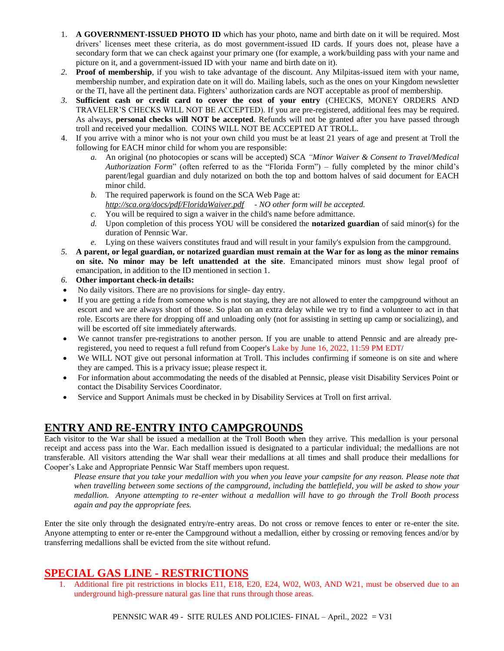- 1. **A GOVERNMENT-ISSUED PHOTO ID** which has your photo, name and birth date on it will be required. Most drivers' licenses meet these criteria, as do most government-issued ID cards. If yours does not, please have a secondary form that we can check against your primary one (for example, a work/building pass with your name and picture on it, and a government-issued ID with your name and birth date on it).
- *2.* **Proof of membership**, if you wish to take advantage of the discount. Any Milpitas-issued item with your name, membership number, and expiration date on it will do. Mailing labels, such as the ones on your Kingdom newsletter or the TI, have all the pertinent data. Fighters' authorization cards are NOT acceptable as proof of membership.
- *3.* **Sufficient cash or credit card to cover the cost of your entry** (CHECKS, MONEY ORDERS AND TRAVELER'S CHECKS WILL NOT BE ACCEPTED). If you are pre-registered, additional fees may be required. As always, **personal checks will NOT be accepted**. Refunds will not be granted after you have passed through troll and received your medallion. COINS WILL NOT BE ACCEPTED AT TROLL.
- 4. If you arrive with a minor who is not your own child you must be at least 21 years of age and present at Troll the following for EACH minor child for whom you are responsible:
	- *a.* An original (no photocopies or scans will be accepted) SCA *"Minor Waiver & Consent to Travel/Medical Authorization Form*" (often referred to as the "Florida Form") – fully completed by the minor child's parent/legal guardian and duly notarized on both the top and bottom halves of said document for EACH minor child.
	- *b.* The required paperwork is found on the SCA Web Page at: *http://sca.org/docs/pdf/FloridaWaiver.pdf - NO other form will be accepted.*
	- *c.* You will be required to sign a waiver in the child's name before admittance.
	- *d.* Upon completion of this process YOU will be considered the **notarized guardian** of said minor(s) for the duration of Pennsic War.
	- *e.* Lying on these waivers constitutes fraud and will result in your family's expulsion from the campground.
- *5.* **A parent, or legal guardian, or notarized guardian must remain at the War for as long as the minor remains on site. No minor may be left unattended at the site**. Emancipated minors must show legal proof of emancipation, in addition to the ID mentioned in section 1.
- *6.* **Other important check-in details:**
- No daily visitors. There are no provisions for single- day entry.
- If you are getting a ride from someone who is not staying, they are not allowed to enter the campground without an escort and we are always short of those. So plan on an extra delay while we try to find a volunteer to act in that role. Escorts are there for dropping off and unloading only (not for assisting in setting up camp or socializing), and will be escorted off site immediately afterwards.
- We cannot transfer pre-registrations to another person. If you are unable to attend Pennsic and are already preregistered, you need to request a full refund from Cooper's Lake by June 16, 2022, 11:59 PM EDT/
- We WILL NOT give out personal information at Troll. This includes confirming if someone is on site and where they are camped. This is a privacy issue; please respect it.
- For information about accommodating the needs of the disabled at Pennsic, please visit Disability Services Point or contact the Disability Services Coordinator.
- Service and Support Animals must be checked in by Disability Services at Troll on first arrival.

# **ENTRY AND RE-ENTRY INTO CAMPGROUNDS**

Each visitor to the War shall be issued a medallion at the Troll Booth when they arrive. This medallion is your personal receipt and access pass into the War. Each medallion issued is designated to a particular individual; the medallions are not transferable. All visitors attending the War shall wear their medallions at all times and shall produce their medallions for Cooper's Lake and Appropriate Pennsic War Staff members upon request.

*Please ensure that you take your medallion with you when you leave your campsite for any reason. Please note that when travelling between some sections of the campground, including the battlefield, you will be asked to show your medallion. Anyone attempting to re-enter without a medallion will have to go through the Troll Booth process again and pay the appropriate fees.* 

Enter the site only through the designated entry/re-entry areas. Do not cross or remove fences to enter or re-enter the site. Anyone attempting to enter or re-enter the Campground without a medallion, either by crossing or removing fences and/or by transferring medallions shall be evicted from the site without refund.

# **SPECIAL GAS LINE - RESTRICTIONS**

1. Additional fire pit restrictions in blocks E11, E18, E20, E24, W02, W03, AND W21, must be observed due to an underground high-pressure natural gas line that runs through those areas.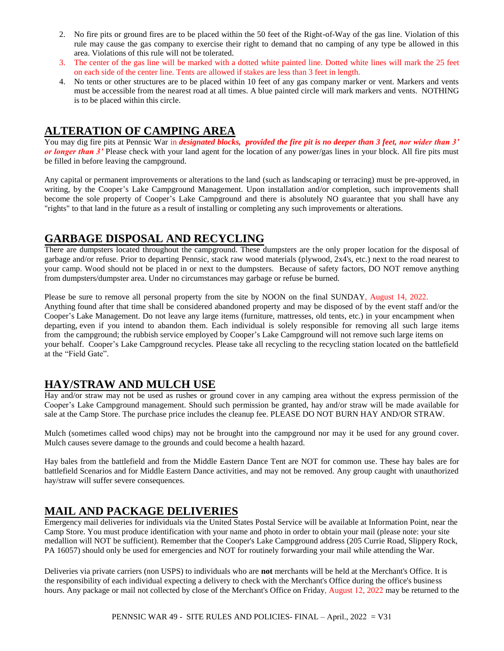- 2. No fire pits or ground fires are to be placed within the 50 feet of the Right-of-Way of the gas line. Violation of this rule may cause the gas company to exercise their right to demand that no camping of any type be allowed in this area. Violations of this rule will not be tolerated.
- 3. The center of the gas line will be marked with a dotted white painted line. Dotted white lines will mark the 25 feet on each side of the center line. Tents are allowed if stakes are less than 3 feet in length.
- 4. No tents or other structures are to be placed within 10 feet of any gas company marker or vent. Markers and vents must be accessible from the nearest road at all times. A blue painted circle will mark markers and vents. NOTHING is to be placed within this circle.

# **ALTERATION OF CAMPING AREA**

You may dig fire pits at Pennsic War in *designated blocks, provided the fire pit is no deeper than 3 feet, nor wider than 3' or longer than 3'* Please check with your land agent for the location of any power/gas lines in your block. All fire pits must be filled in before leaving the campground.

Any capital or permanent improvements or alterations to the land (such as landscaping or terracing) must be pre-approved, in writing, by the Cooper's Lake Campground Management. Upon installation and/or completion, such improvements shall become the sole property of Cooper's Lake Campground and there is absolutely NO guarantee that you shall have any "rights" to that land in the future as a result of installing or completing any such improvements or alterations.

# **GARBAGE DISPOSAL AND RECYCLING**

There are dumpsters located throughout the campground. These dumpsters are the only proper location for the disposal of garbage and/or refuse. Prior to departing Pennsic, stack raw wood materials (plywood, 2x4's, etc.) next to the road nearest to your camp. Wood should not be placed in or next to the dumpsters. Because of safety factors, DO NOT remove anything from dumpsters/dumpster area. Under no circumstances may garbage or refuse be burned.

Please be sure to remove all personal property from the site by NOON on the final SUNDAY, August 14, 2022. Anything found after that time shall be considered abandoned property and may be disposed of by the event staff and/or the Cooper's Lake Management. Do not leave any large items (furniture, mattresses, old tents, etc.) in your encampment when departing, even if you intend to abandon them. Each individual is solely responsible for removing all such large items from the campground; the rubbish service employed by Cooper's Lake Campground will not remove such large items on your behalf. Cooper's Lake Campground recycles. Please take all recycling to the recycling station located on the battlefield at the "Field Gate".

# **HAY/STRAW AND MULCH USE**

Hay and/or straw may not be used as rushes or ground cover in any camping area without the express permission of the Cooper's Lake Campground management. Should such permission be granted, hay and/or straw will be made available for sale at the Camp Store. The purchase price includes the cleanup fee. PLEASE DO NOT BURN HAY AND/OR STRAW.

Mulch (sometimes called wood chips) may not be brought into the campground nor may it be used for any ground cover. Mulch causes severe damage to the grounds and could become a health hazard.

Hay bales from the battlefield and from the Middle Eastern Dance Tent are NOT for common use. These hay bales are for battlefield Scenarios and for Middle Eastern Dance activities, and may not be removed. Any group caught with unauthorized hay/straw will suffer severe consequences.

# **MAIL AND PACKAGE DELIVERIES**

Emergency mail deliveries for individuals via the United States Postal Service will be available at Information Point, near the Camp Store. You must produce identification with your name and photo in order to obtain your mail (please note: your site medallion will NOT be sufficient). Remember that the Cooper's Lake Campground address (205 Currie Road, Slippery Rock, PA 16057) should only be used for emergencies and NOT for routinely forwarding your mail while attending the War.

Deliveries via private carriers (non USPS) to individuals who are **not** merchants will be held at the Merchant's Office. It is the responsibility of each individual expecting a delivery to check with the Merchant's Office during the office's business hours. Any package or mail not collected by close of the Merchant's Office on Friday, August 12, 2022 may be returned to the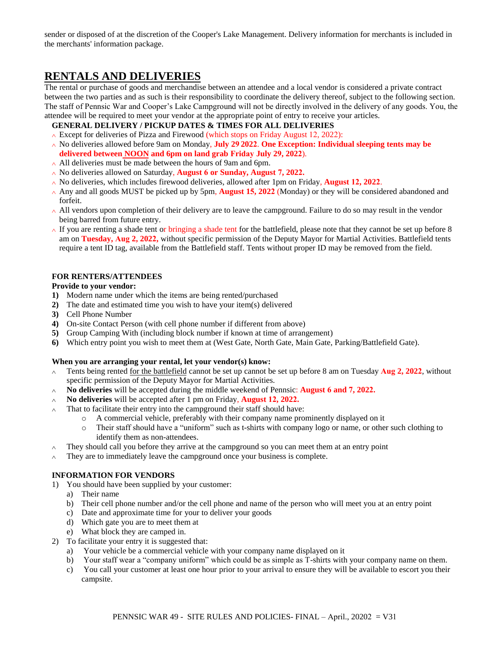sender or disposed of at the discretion of the Cooper's Lake Management. Delivery information for merchants is included in the merchants' information package.

# **RENTALS AND DELIVERIES**

The rental or purchase of goods and merchandise between an attendee and a local vendor is considered a private contract between the two parties and as such is their responsibility to coordinate the delivery thereof, subject to the following section. The staff of Pennsic War and Cooper's Lake Campground will not be directly involved in the delivery of any goods. You, the attendee will be required to meet your vendor at the appropriate point of entry to receive your articles.

**GENERAL DELIVERY / PICKUP DATES & TIMES FOR ALL DELIVERIES** 

- ∧ Except for deliveries of Pizza and Firewood (which stops on Friday August 12, 2022):
- ∧ No deliveries allowed before 9am on Monday, **July 29 2022**. **One Exception: Individual sleeping tents may be delivered between NOON and 6pm on land grab Friday July 29, 2022**).
- ∧ All deliveries must be made between the hours of 9am and 6pm.
- ∧ No deliveries allowed on Saturday, **August 6 or Sunday, August 7, 2022.**
- ∧ No deliveries, which includes firewood deliveries, allowed after 1pm on Friday, **August 12, 2022**.
- ∧ Any and all goods MUST be picked up by 5pm, **August 15, 2022** (Monday) or they will be considered abandoned and forfeit.
- ∧ All vendors upon completion of their delivery are to leave the campground. Failure to do so may result in the vendor being barred from future entry.
- ∧ If you are renting a shade tent or bringing a shade tent for the battlefield, please note that they cannot be set up before 8 am on **Tuesday, Aug 2, 2022,** without specific permission of the Deputy Mayor for Martial Activities. Battlefield tents require a tent ID tag, available from the Battlefield staff. Tents without proper ID may be removed from the field.

#### **FOR RENTERS/ATTENDEES**

#### **Provide to your vendor:**

- **1)** Modern name under which the items are being rented/purchased
- **2)** The date and estimated time you wish to have your item(s) delivered
- **3)** Cell Phone Number
- **4)** On-site Contact Person (with cell phone number if different from above)
- **5)** Group Camping With (including block number if known at time of arrangement)
- **6)** Which entry point you wish to meet them at (West Gate, North Gate, Main Gate, Parking/Battlefield Gate).

#### **When you are arranging your rental, let your vendor(s) know:**

- ∧ Tents being rented for the battlefield cannot be set up cannot be set up before 8 am on Tuesday **Aug 2, 2022**, without specific permission of the Deputy Mayor for Martial Activities.
- ∧ **No deliveries** will be accepted during the middle weekend of Pennsic: **August 6 and 7, 2022.**
- ∧ **No deliveries** will be accepted after 1 pm on Friday, **August 12, 2022.**
- ∧ That to facilitate their entry into the campground their staff should have:
	- $\circ$  A commercial vehicle, preferably with their company name prominently displayed on it  $\circ$  Their staff should have a "uniform" such as t-shirts with company logo or name, or other
	- Their staff should have a "uniform" such as t-shirts with company logo or name, or other such clothing to identify them as non-attendees.
- $\wedge$  They should call you before they arrive at the campground so you can meet them at an entry point
- ∧ They are to immediately leave the campground once your business is complete.

#### **INFORMATION FOR VENDORS**

- 1) You should have been supplied by your customer:
	- a) Their name
	- b) Their cell phone number and/or the cell phone and name of the person who will meet you at an entry point
	- c) Date and approximate time for your to deliver your goods
	- d) Which gate you are to meet them at
	- e) What block they are camped in.
- 2) To facilitate your entry it is suggested that:
	- a) Your vehicle be a commercial vehicle with your company name displayed on it
	- b) Your staff wear a "company uniform" which could be as simple as T-shirts with your company name on them.
	- c) You call your customer at least one hour prior to your arrival to ensure they will be available to escort you their campsite.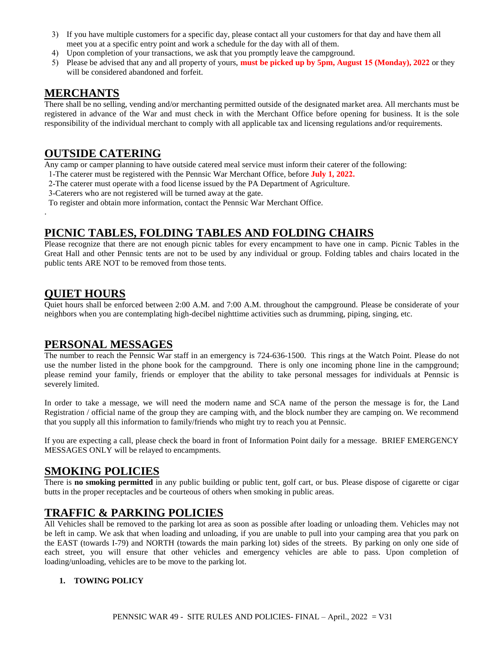- 3) If you have multiple customers for a specific day, please contact all your customers for that day and have them all meet you at a specific entry point and work a schedule for the day with all of them.
- 4) Upon completion of your transactions, we ask that you promptly leave the campground.
- 5) Please be advised that any and all property of yours, **must be picked up by 5pm, August 15 (Monday), 2022** or they will be considered abandoned and forfeit.

### **MERCHANTS**

There shall be no selling, vending and/or merchanting permitted outside of the designated market area. All merchants must be registered in advance of the War and must check in with the Merchant Office before opening for business. It is the sole responsibility of the individual merchant to comply with all applicable tax and licensing regulations and/or requirements.

# **OUTSIDE CATERING**

Any camp or camper planning to have outside catered meal service must inform their caterer of the following:

- 1-The caterer must be registered with the Pennsic War Merchant Office, before **July 1, 2022.**
- 2-The caterer must operate with a food license issued by the PA Department of Agriculture.
- 3-Caterers who are not registered will be turned away at the gate.

To register and obtain more information, contact the Pennsic War Merchant Office.

# **PICNIC TABLES, FOLDING TABLES AND FOLDING CHAIRS**

Please recognize that there are not enough picnic tables for every encampment to have one in camp. Picnic Tables in the Great Hall and other Pennsic tents are not to be used by any individual or group. Folding tables and chairs located in the public tents ARE NOT to be removed from those tents.

# **QUIET HOURS**

.

Quiet hours shall be enforced between 2:00 A.M. and 7:00 A.M. throughout the campground. Please be considerate of your neighbors when you are contemplating high-decibel nighttime activities such as drumming, piping, singing, etc.

# **PERSONAL MESSAGES**

The number to reach the Pennsic War staff in an emergency is 724-636-1500. This rings at the Watch Point. Please do not use the number listed in the phone book for the campground. There is only one incoming phone line in the campground; please remind your family, friends or employer that the ability to take personal messages for individuals at Pennsic is severely limited.

In order to take a message, we will need the modern name and SCA name of the person the message is for, the Land Registration / official name of the group they are camping with, and the block number they are camping on. We recommend that you supply all this information to family/friends who might try to reach you at Pennsic.

If you are expecting a call, please check the board in front of Information Point daily for a message. BRIEF EMERGENCY MESSAGES ONLY will be relayed to encampments.

# **SMOKING POLICIES**

There is **no smoking permitted** in any public building or public tent, golf cart, or bus. Please dispose of cigarette or cigar butts in the proper receptacles and be courteous of others when smoking in public areas.

# **TRAFFIC & PARKING POLICIES**

All Vehicles shall be removed to the parking lot area as soon as possible after loading or unloading them. Vehicles may not be left in camp. We ask that when loading and unloading, if you are unable to pull into your camping area that you park on the EAST (towards I-79) and NORTH (towards the main parking lot) sides of the streets. By parking on only one side of each street, you will ensure that other vehicles and emergency vehicles are able to pass. Upon completion of loading/unloading, vehicles are to be move to the parking lot.

### **1. TOWING POLICY**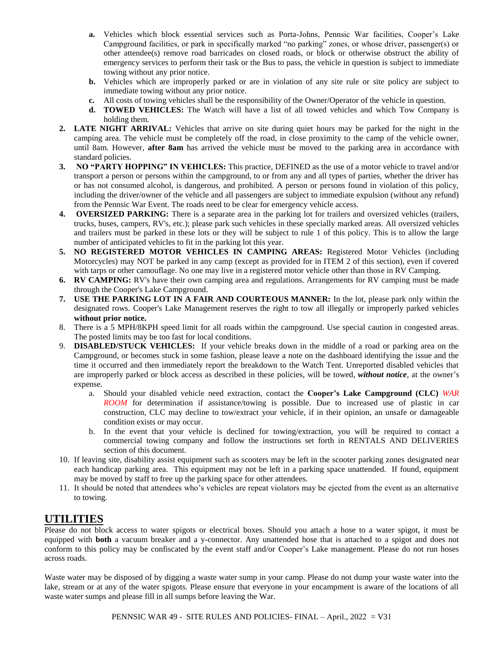- **a.** Vehicles which block essential services such as Porta-Johns, Pennsic War facilities, Cooper's Lake Campground facilities, or park in specifically marked "no parking" zones, or whose driver, passenger(s) or other attendee(s) remove road barricades on closed roads, or block or otherwise obstruct the ability of emergency services to perform their task or the Bus to pass, the vehicle in question is subject to immediate towing without any prior notice.
- **b.** Vehicles which are improperly parked or are in violation of any site rule or site policy are subject to immediate towing without any prior notice.
- **c.** All costs of towing vehicles shall be the responsibility of the Owner/Operator of the vehicle in question.
- **d. TOWED VEHICLES:** The Watch will have a list of all towed vehicles and which Tow Company is holding them.
- **2. LATE NIGHT ARRIVAL:** Vehicles that arrive on site during quiet hours may be parked for the night in the camping area. The vehicle must be completely off the road, in close proximity to the camp of the vehicle owner, until 8am. However, **after 8am** has arrived the vehicle must be moved to the parking area in accordance with standard policies.
- **3. NO "PARTY HOPPING" IN VEHICLES:** This practice, DEFINED as the use of a motor vehicle to travel and/or transport a person or persons within the campground, to or from any and all types of parties, whether the driver has or has not consumed alcohol, is dangerous, and prohibited. A person or persons found in violation of this policy, including the driver/owner of the vehicle and all passengers are subject to immediate expulsion (without any refund) from the Pennsic War Event. The roads need to be clear for emergency vehicle access.
- **4. OVERSIZED PARKING:** There is a separate area in the parking lot for trailers and oversized vehicles (trailers, trucks, buses, campers, RV's, etc.); please park such vehicles in these specially marked areas. All oversized vehicles and trailers must be parked in these lots or they will be subject to rule 1 of this policy. This is to allow the large number of anticipated vehicles to fit in the parking lot this year.
- **5. NO REGISTERED MOTOR VEHICLES IN CAMPING AREAS:** Registered Motor Vehicles (including Motorcycles) may NOT be parked in any camp (except as provided for in ITEM 2 of this section), even if covered with tarps or other camouflage. No one may live in a registered motor vehicle other than those in RV Camping.
- **6. RV CAMPING:** RV's have their own camping area and regulations. Arrangements for RV camping must be made through the Cooper's Lake Campground.
- **7. USE THE PARKING LOT IN A FAIR AND COURTEOUS MANNER:** In the lot, please park only within the designated rows. Cooper's Lake Management reserves the right to tow all illegally or improperly parked vehicles **without prior notice.**
- 8. There is a 5 MPH/8KPH speed limit for all roads within the campground. Use special caution in congested areas. The posted limits may be too fast for local conditions.
- 9. **DISABLED/STUCK VEHICLES:** If your vehicle breaks down in the middle of a road or parking area on the Campground, or becomes stuck in some fashion, please leave a note on the dashboard identifying the issue and the time it occurred and then immediately report the breakdown to the Watch Tent. Unreported disabled vehicles that are improperly parked or block access as described in these policies, will be towed, *without notice*, at the owner's expense.
	- a. Should your disabled vehicle need extraction, contact the **Cooper's Lake Campground (CLC)** *WAR ROOM* for determination if assistance/towing is possible. Due to increased use of plastic in car construction, CLC may decline to tow/extract your vehicle, if in their opinion, an unsafe or damageable condition exists or may occur.
	- b. In the event that your vehicle is declined for towing/extraction, you will be required to contact a commercial towing company and follow the instructions set forth in RENTALS AND DELIVERIES section of this document.
- 10. If leaving site, disability assist equipment such as scooters may be left in the scooter parking zones designated near each handicap parking area. This equipment may not be left in a parking space unattended. If found, equipment may be moved by staff to free up the parking space for other attendees.
- 11. It should be noted that attendees who's vehicles are repeat violators may be ejected from the event as an alternative to towing.

# **UTILITIES**

Please do not block access to water spigots or electrical boxes. Should you attach a hose to a water spigot, it must be equipped with **both** a vacuum breaker and a y-connector. Any unattended hose that is attached to a spigot and does not conform to this policy may be confiscated by the event staff and/or Cooper's Lake management. Please do not run hoses across roads.

Waste water may be disposed of by digging a waste water sump in your camp. Please do not dump your waste water into the lake, stream or at any of the water spigots. Please ensure that everyone in your encampment is aware of the locations of all waste water sumps and please fill in all sumps before leaving the War.